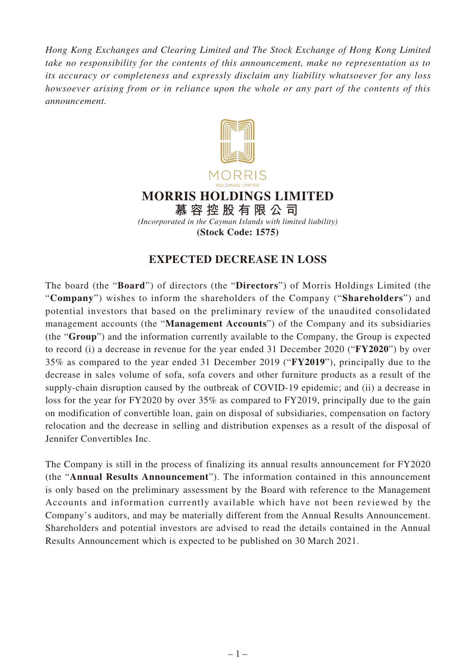*Hong Kong Exchanges and Clearing Limited and The Stock Exchange of Hong Kong Limited take no responsibility for the contents of this announcement, make no representation as to its accuracy or completeness and expressly disclaim any liability whatsoever for any loss howsoever arising from or in reliance upon the whole or any part of the contents of this announcement.*



## **EXPECTED DECREASE IN LOSS**

The board (the "**Board**") of directors (the "**Directors**") of Morris Holdings Limited (the "**Company**") wishes to inform the shareholders of the Company ("**Shareholders**") and potential investors that based on the preliminary review of the unaudited consolidated management accounts (the "**Management Accounts**") of the Company and its subsidiaries (the "**Group**") and the information currently available to the Company, the Group is expected to record (i) a decrease in revenue for the year ended 31 December 2020 ("**FY2020**") by over 35% as compared to the year ended 31 December 2019 ("**FY2019**"), principally due to the decrease in sales volume of sofa, sofa covers and other furniture products as a result of the supply-chain disruption caused by the outbreak of COVID-19 epidemic; and (ii) a decrease in loss for the year for FY2020 by over 35% as compared to FY2019, principally due to the gain on modification of convertible loan, gain on disposal of subsidiaries, compensation on factory relocation and the decrease in selling and distribution expenses as a result of the disposal of Jennifer Convertibles Inc.

The Company is still in the process of finalizing its annual results announcement for FY2020 (the "**Annual Results Announcement**"). The information contained in this announcement is only based on the preliminary assessment by the Board with reference to the Management Accounts and information currently available which have not been reviewed by the Company's auditors, and may be materially different from the Annual Results Announcement. Shareholders and potential investors are advised to read the details contained in the Annual Results Announcement which is expected to be published on 30 March 2021.